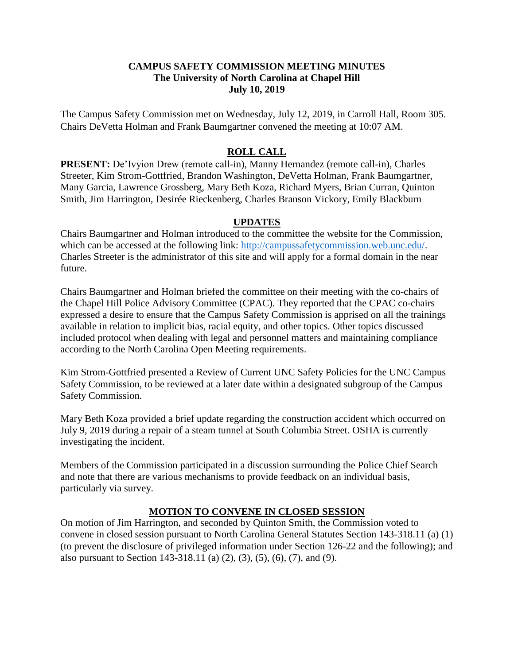#### **CAMPUS SAFETY COMMISSION MEETING MINUTES The University of North Carolina at Chapel Hill July 10, 2019**

The Campus Safety Commission met on Wednesday, July 12, 2019, in Carroll Hall, Room 305. Chairs DeVetta Holman and Frank Baumgartner convened the meeting at 10:07 AM.

## **ROLL CALL**

**PRESENT:** De'Ivyion Drew (remote call-in), Manny Hernandez (remote call-in), Charles Streeter, Kim Strom-Gottfried, Brandon Washington, DeVetta Holman, Frank Baumgartner, Many Garcia, Lawrence Grossberg, Mary Beth Koza, Richard Myers, Brian Curran, Quinton Smith, Jim Harrington, Desirée Rieckenberg, Charles Branson Vickory, Emily Blackburn

#### **UPDATES**

Chairs Baumgartner and Holman introduced to the committee the website for the Commission, which can be accessed at the following link: [http://campussafetycommission.web.unc.edu/.](http://campussafetycommission.web.unc.edu/) Charles Streeter is the administrator of this site and will apply for a formal domain in the near future.

Chairs Baumgartner and Holman briefed the committee on their meeting with the co-chairs of the Chapel Hill Police Advisory Committee (CPAC). They reported that the CPAC co-chairs expressed a desire to ensure that the Campus Safety Commission is apprised on all the trainings available in relation to implicit bias, racial equity, and other topics. Other topics discussed included protocol when dealing with legal and personnel matters and maintaining compliance according to the North Carolina Open Meeting requirements.

Kim Strom-Gottfried presented a Review of Current UNC Safety Policies for the UNC Campus Safety Commission, to be reviewed at a later date within a designated subgroup of the Campus Safety Commission.

Mary Beth Koza provided a brief update regarding the construction accident which occurred on July 9, 2019 during a repair of a steam tunnel at South Columbia Street. OSHA is currently investigating the incident.

Members of the Commission participated in a discussion surrounding the Police Chief Search and note that there are various mechanisms to provide feedback on an individual basis, particularly via survey.

### **MOTION TO CONVENE IN CLOSED SESSION**

On motion of Jim Harrington, and seconded by Quinton Smith, the Commission voted to convene in closed session pursuant to North Carolina General Statutes Section 143-318.11 (a) (1) (to prevent the disclosure of privileged information under Section 126-22 and the following); and also pursuant to Section 143-318.11 (a) (2), (3), (5), (6), (7), and (9).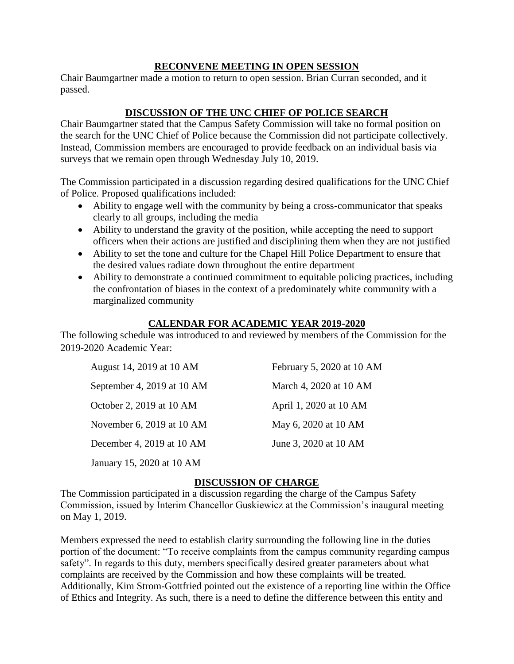### **RECONVENE MEETING IN OPEN SESSION**

Chair Baumgartner made a motion to return to open session. Brian Curran seconded, and it passed.

# **DISCUSSION OF THE UNC CHIEF OF POLICE SEARCH**

Chair Baumgartner stated that the Campus Safety Commission will take no formal position on the search for the UNC Chief of Police because the Commission did not participate collectively. Instead, Commission members are encouraged to provide feedback on an individual basis via surveys that we remain open through Wednesday July 10, 2019.

The Commission participated in a discussion regarding desired qualifications for the UNC Chief of Police. Proposed qualifications included:

- Ability to engage well with the community by being a cross-communicator that speaks clearly to all groups, including the media
- Ability to understand the gravity of the position, while accepting the need to support officers when their actions are justified and disciplining them when they are not justified
- Ability to set the tone and culture for the Chapel Hill Police Department to ensure that the desired values radiate down throughout the entire department
- Ability to demonstrate a continued commitment to equitable policing practices, including the confrontation of biases in the context of a predominately white community with a marginalized community

# **CALENDAR FOR ACADEMIC YEAR 2019-2020**

The following schedule was introduced to and reviewed by members of the Commission for the 2019-2020 Academic Year:

| August 14, 2019 at 10 AM   | February 5, 2020 at 10 AM |
|----------------------------|---------------------------|
| September 4, 2019 at 10 AM | March 4, 2020 at 10 AM    |
| October 2, 2019 at 10 AM   | April 1, 2020 at 10 AM    |
| November 6, 2019 at 10 AM  | May 6, 2020 at 10 AM      |
| December 4, 2019 at 10 AM  | June 3, 2020 at 10 AM     |
| January 15, 2020 at 10 AM  |                           |

### **DISCUSSION OF CHARGE**

The Commission participated in a discussion regarding the charge of the Campus Safety Commission, issued by Interim Chancellor Guskiewicz at the Commission's inaugural meeting on May 1, 2019.

Members expressed the need to establish clarity surrounding the following line in the duties portion of the document: "To receive complaints from the campus community regarding campus safety". In regards to this duty, members specifically desired greater parameters about what complaints are received by the Commission and how these complaints will be treated. Additionally, Kim Strom-Gottfried pointed out the existence of a reporting line within the Office of Ethics and Integrity. As such, there is a need to define the difference between this entity and